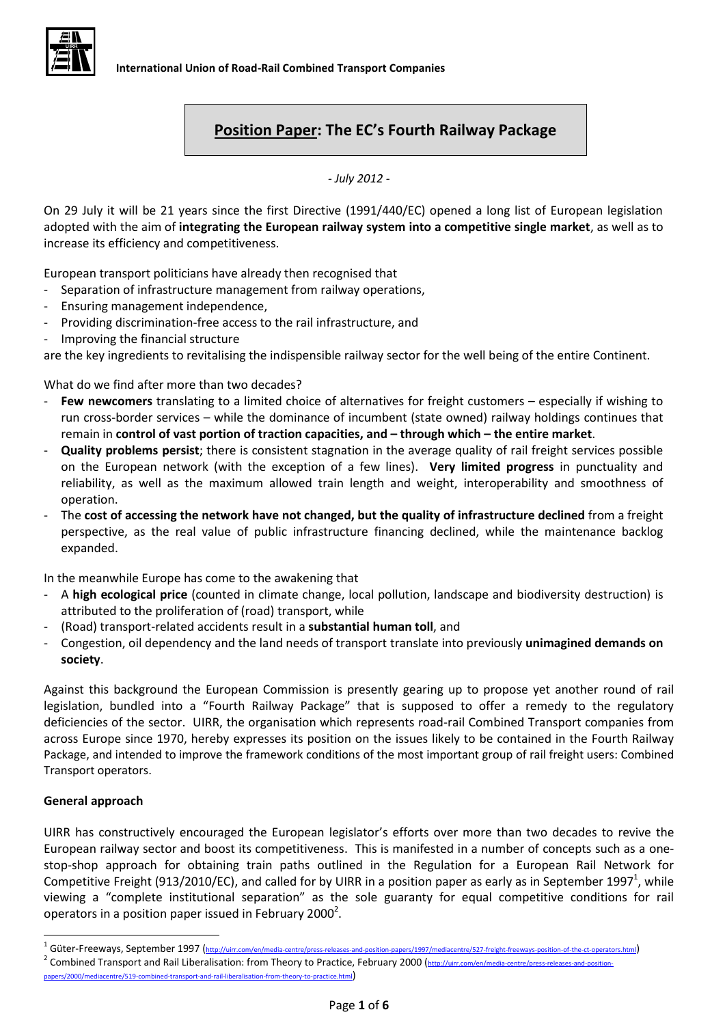

# **Position Paper: The EC's Fourth Railway Package**

*- July 2012 -*

On 29 July it will be 21 years since the first Directive (1991/440/EC) opened a long list of European legislation adopted with the aim of **integrating the European railway system into a competitive single market**, as well as to increase its efficiency and competitiveness.

European transport politicians have already then recognised that

- Separation of infrastructure management from railway operations,
- Ensuring management independence,
- Providing discrimination-free access to the rail infrastructure, and
- Improving the financial structure

are the key ingredients to revitalising the indispensible railway sector for the well being of the entire Continent.

What do we find after more than two decades?

- **Few newcomers** translating to a limited choice of alternatives for freight customers especially if wishing to run cross-border services – while the dominance of incumbent (state owned) railway holdings continues that remain in **control of vast portion of traction capacities, and – through which – the entire market**.
- **Quality problems persist**; there is consistent stagnation in the average quality of rail freight services possible on the European network (with the exception of a few lines). **Very limited progress** in punctuality and reliability, as well as the maximum allowed train length and weight, interoperability and smoothness of operation.
- The **cost of accessing the network have not changed, but the quality of infrastructure declined** from a freight perspective, as the real value of public infrastructure financing declined, while the maintenance backlog expanded.

In the meanwhile Europe has come to the awakening that

- A **high ecological price** (counted in climate change, local pollution, landscape and biodiversity destruction) is attributed to the proliferation of (road) transport, while
- (Road) transport-related accidents result in a **substantial human toll**, and
- Congestion, oil dependency and the land needs of transport translate into previously **unimagined demands on society**.

Against this background the European Commission is presently gearing up to propose yet another round of rail legislation, bundled into a "Fourth Railway Package" that is supposed to offer a remedy to the regulatory deficiencies of the sector. UIRR, the organisation which represents road-rail Combined Transport companies from across Europe since 1970, hereby expresses its position on the issues likely to be contained in the Fourth Railway Package, and intended to improve the framework conditions of the most important group of rail freight users: Combined Transport operators.

#### **General approach**

**.** 

UIRR has constructively encouraged the European legislator's efforts over more than two decades to revive the European railway sector and boost its competitiveness. This is manifested in a number of concepts such as a onestop-shop approach for obtaining train paths outlined in the Regulation for a European Rail Network for Competitive Freight (913/2010/EC), and called for by UIRR in a position paper as early as in September 1997<sup>1</sup>, while viewing a "complete institutional separation" as the sole guaranty for equal competitive conditions for rail operators in a position paper issued in February 2000<sup>2</sup>.

<sup>&</sup>lt;sup>1</sup> Güter-Freeways, September 1997 (<http://uirr.com/en/media-centre/press-releases-and-position-papers/1997/mediacentre/527-freight-freeways-position-of-the-ct-operators.html> <sup>2</sup> Combined Transport and Rail Liberalisation: from Theory to Practice, February 2000 ([http://uirr.com/en/media-centre/press-releases-and-position](http://uirr.com/en/media-centre/press-releases-and-position-papers/2000/mediacentre/519-combined-transport-and-rail-liberalisation-from-theory-to-practice.html)[papers/2000/mediacentre/519-combined-transport-and-rail-liberalisation-from-theory-to-practice.html](http://uirr.com/en/media-centre/press-releases-and-position-papers/2000/mediacentre/519-combined-transport-and-rail-liberalisation-from-theory-to-practice.html))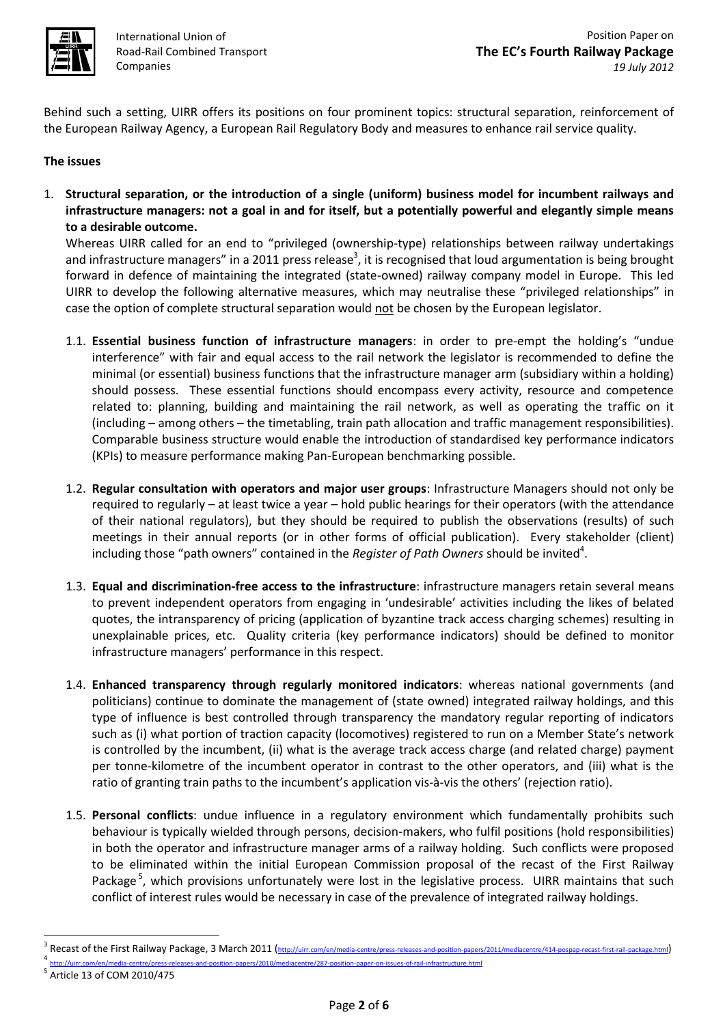

International Union of Road-Rail Combined Transport Companies

Behind such a setting, UIRR offers its positions on four prominent topics: structural separation, reinforcement of the European Railway Agency, a European Rail Regulatory Body and measures to enhance rail service quality.

## **The issues**

1. **Structural separation, or the introduction of a single (uniform) business model for incumbent railways and infrastructure managers: not a goal in and for itself, but a potentially powerful and elegantly simple means to a desirable outcome.**

Whereas UIRR called for an end to "privileged (ownership-type) relationships between railway undertakings and infrastructure managers" in a 2011 press release<sup>3</sup>, it is recognised that loud argumentation is being brought forward in defence of maintaining the integrated (state-owned) railway company model in Europe. This led UIRR to develop the following alternative measures, which may neutralise these "privileged relationships" in case the option of complete structural separation would not be chosen by the European legislator.

- 1.1. **Essential business function of infrastructure managers**: in order to pre-empt the holding's "undue interference" with fair and equal access to the rail network the legislator is recommended to define the minimal (or essential) business functions that the infrastructure manager arm (subsidiary within a holding) should possess. These essential functions should encompass every activity, resource and competence related to: planning, building and maintaining the rail network, as well as operating the traffic on it (including – among others – the timetabling, train path allocation and traffic management responsibilities). Comparable business structure would enable the introduction of standardised key performance indicators (KPIs) to measure performance making Pan-European benchmarking possible.
- 1.2. **Regular consultation with operators and major user groups**: Infrastructure Managers should not only be required to regularly – at least twice a year – hold public hearings for their operators (with the attendance of their national regulators), but they should be required to publish the observations (results) of such meetings in their annual reports (or in other forms of official publication). Every stakeholder (client) including those "path owners" contained in the *Register of Path Owners* should be invited<sup>4</sup>.
- 1.3. **Equal and discrimination-free access to the infrastructure**: infrastructure managers retain several means to prevent independent operators from engaging in 'undesirable' activities including the likes of belated quotes, the intransparency of pricing (application of byzantine track access charging schemes) resulting in unexplainable prices, etc. Quality criteria (key performance indicators) should be defined to monitor infrastructure managers' performance in this respect.
- 1.4. **Enhanced transparency through regularly monitored indicators**: whereas national governments (and politicians) continue to dominate the management of (state owned) integrated railway holdings, and this type of influence is best controlled through transparency the mandatory regular reporting of indicators such as (i) what portion of traction capacity (locomotives) registered to run on a Member State's network is controlled by the incumbent, (ii) what is the average track access charge (and related charge) payment per tonne-kilometre of the incumbent operator in contrast to the other operators, and (iii) what is the ratio of granting train paths to the incumbent's application vis-à-vis the others' (rejection ratio).
- 1.5. **Personal conflicts**: undue influence in a regulatory environment which fundamentally prohibits such behaviour is typically wielded through persons, decision-makers, who fulfil positions (hold responsibilities) in both the operator and infrastructure manager arms of a railway holding. Such conflicts were proposed to be eliminated within the initial European Commission proposal of the recast of the First Railway Package<sup>5</sup>, which provisions unfortunately were lost in the legislative process. UIRR maintains that such conflict of interest rules would be necessary in case of the prevalence of integrated railway holdings.

**.** 

<sup>3</sup> Recast of the First Railway Package, 3 March 2011 (<http://uirr.com/en/media-centre/press-releases-and-position-papers/2011/mediacentre/414-pospap-recast-first-rail-package.html>)<br>4 http://uirr.com/en/media-centre/press-releases-and-position-papers/2010/mediacentre/287-position-paper-on-issue

<sup>5</sup> Article 13 of COM 2010/475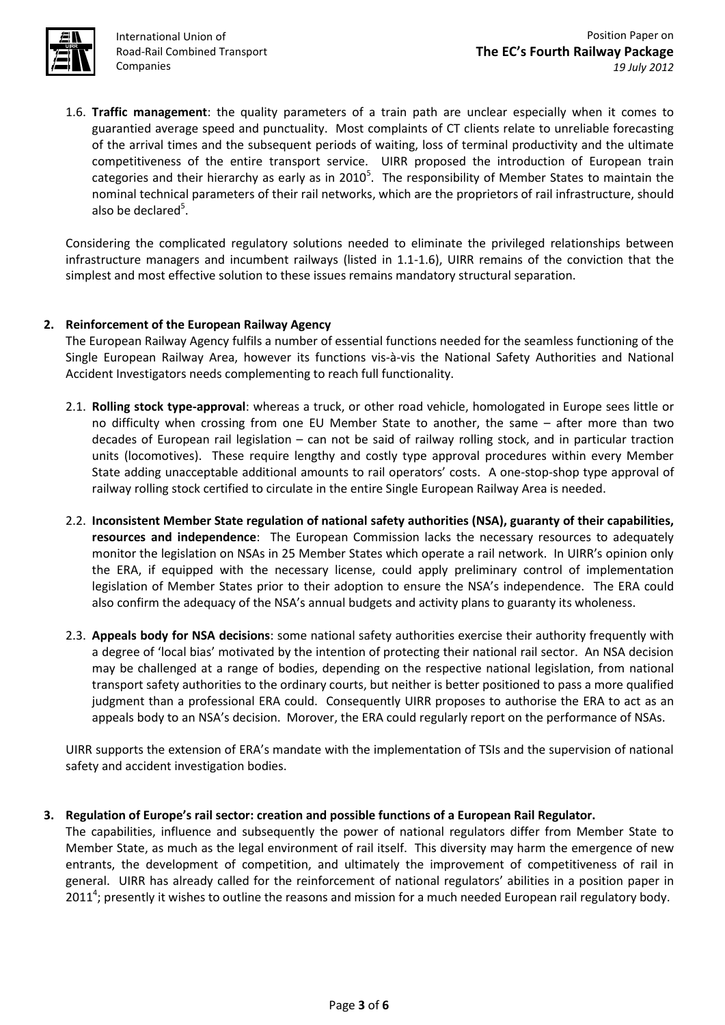

International Union of Road-Rail Combined Transport Companies

1.6. **Traffic management**: the quality parameters of a train path are unclear especially when it comes to guarantied average speed and punctuality. Most complaints of CT clients relate to unreliable forecasting of the arrival times and the subsequent periods of waiting, loss of terminal productivity and the ultimate competitiveness of the entire transport service. UIRR proposed the introduction of European train categories and their hierarchy as early as in 2010<sup>5</sup>. The responsibility of Member States to maintain the nominal technical parameters of their rail networks, which are the proprietors of rail infrastructure, should also be declared<sup>5</sup>.

Considering the complicated regulatory solutions needed to eliminate the privileged relationships between infrastructure managers and incumbent railways (listed in 1.1-1.6), UIRR remains of the conviction that the simplest and most effective solution to these issues remains mandatory structural separation.

## **2. Reinforcement of the European Railway Agency**

The European Railway Agency fulfils a number of essential functions needed for the seamless functioning of the Single European Railway Area, however its functions vis-à-vis the National Safety Authorities and National Accident Investigators needs complementing to reach full functionality.

- 2.1. **Rolling stock type-approval**: whereas a truck, or other road vehicle, homologated in Europe sees little or no difficulty when crossing from one EU Member State to another, the same – after more than two decades of European rail legislation – can not be said of railway rolling stock, and in particular traction units (locomotives). These require lengthy and costly type approval procedures within every Member State adding unacceptable additional amounts to rail operators' costs. A one-stop-shop type approval of railway rolling stock certified to circulate in the entire Single European Railway Area is needed.
- 2.2. **Inconsistent Member State regulation of national safety authorities (NSA), guaranty of their capabilities, resources and independence**: The European Commission lacks the necessary resources to adequately monitor the legislation on NSAs in 25 Member States which operate a rail network. In UIRR's opinion only the ERA, if equipped with the necessary license, could apply preliminary control of implementation legislation of Member States prior to their adoption to ensure the NSA's independence. The ERA could also confirm the adequacy of the NSA's annual budgets and activity plans to guaranty its wholeness.
- 2.3. **Appeals body for NSA decisions**: some national safety authorities exercise their authority frequently with a degree of 'local bias' motivated by the intention of protecting their national rail sector. An NSA decision may be challenged at a range of bodies, depending on the respective national legislation, from national transport safety authorities to the ordinary courts, but neither is better positioned to pass a more qualified judgment than a professional ERA could. Consequently UIRR proposes to authorise the ERA to act as an appeals body to an NSA's decision. Morover, the ERA could regularly report on the performance of NSAs.

UIRR supports the extension of ERA's mandate with the implementation of TSIs and the supervision of national safety and accident investigation bodies.

#### **3. Regulation of Europe's rail sector: creation and possible functions of a European Rail Regulator.**

The capabilities, influence and subsequently the power of national regulators differ from Member State to Member State, as much as the legal environment of rail itself. This diversity may harm the emergence of new entrants, the development of competition, and ultimately the improvement of competitiveness of rail in general. UIRR has already called for the reinforcement of national regulators' abilities in a position paper in 2011<sup>4</sup>; presently it wishes to outline the reasons and mission for a much needed European rail regulatory body.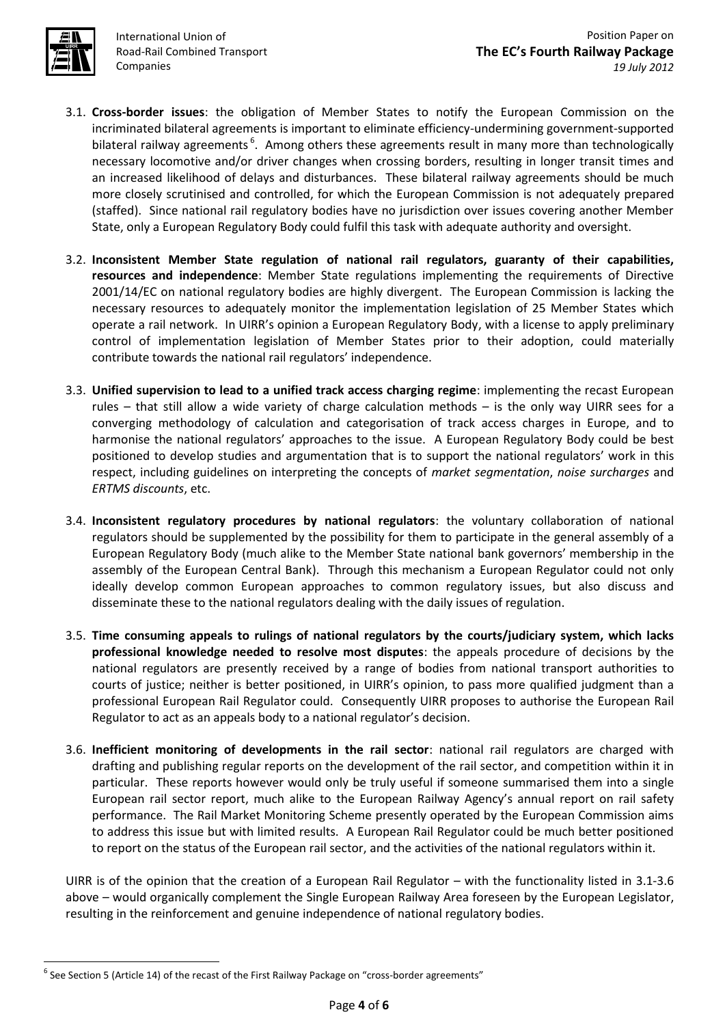

 $\overline{a}$ 

International Union of Road-Rail Combined Transport Companies

- 3.1. **Cross-border issues**: the obligation of Member States to notify the European Commission on the incriminated bilateral agreements is important to eliminate efficiency-undermining government-supported bilateral railway agreements<sup>6</sup>. Among others these agreements result in many more than technologically necessary locomotive and/or driver changes when crossing borders, resulting in longer transit times and an increased likelihood of delays and disturbances. These bilateral railway agreements should be much more closely scrutinised and controlled, for which the European Commission is not adequately prepared (staffed). Since national rail regulatory bodies have no jurisdiction over issues covering another Member State, only a European Regulatory Body could fulfil this task with adequate authority and oversight.
- 3.2. **Inconsistent Member State regulation of national rail regulators, guaranty of their capabilities, resources and independence**: Member State regulations implementing the requirements of Directive 2001/14/EC on national regulatory bodies are highly divergent. The European Commission is lacking the necessary resources to adequately monitor the implementation legislation of 25 Member States which operate a rail network. In UIRR's opinion a European Regulatory Body, with a license to apply preliminary control of implementation legislation of Member States prior to their adoption, could materially contribute towards the national rail regulators' independence.
- 3.3. **Unified supervision to lead to a unified track access charging regime**: implementing the recast European rules – that still allow a wide variety of charge calculation methods – is the only way UIRR sees for a converging methodology of calculation and categorisation of track access charges in Europe, and to harmonise the national regulators' approaches to the issue. A European Regulatory Body could be best positioned to develop studies and argumentation that is to support the national regulators' work in this respect, including guidelines on interpreting the concepts of *market segmentation*, *noise surcharges* and *ERTMS discounts*, etc.
- 3.4. **Inconsistent regulatory procedures by national regulators**: the voluntary collaboration of national regulators should be supplemented by the possibility for them to participate in the general assembly of a European Regulatory Body (much alike to the Member State national bank governors' membership in the assembly of the European Central Bank). Through this mechanism a European Regulator could not only ideally develop common European approaches to common regulatory issues, but also discuss and disseminate these to the national regulators dealing with the daily issues of regulation.
- 3.5. **Time consuming appeals to rulings of national regulators by the courts/judiciary system, which lacks professional knowledge needed to resolve most disputes**: the appeals procedure of decisions by the national regulators are presently received by a range of bodies from national transport authorities to courts of justice; neither is better positioned, in UIRR's opinion, to pass more qualified judgment than a professional European Rail Regulator could. Consequently UIRR proposes to authorise the European Rail Regulator to act as an appeals body to a national regulator's decision.
- 3.6. **Inefficient monitoring of developments in the rail sector**: national rail regulators are charged with drafting and publishing regular reports on the development of the rail sector, and competition within it in particular. These reports however would only be truly useful if someone summarised them into a single European rail sector report, much alike to the European Railway Agency's annual report on rail safety performance. The Rail Market Monitoring Scheme presently operated by the European Commission aims to address this issue but with limited results. A European Rail Regulator could be much better positioned to report on the status of the European rail sector, and the activities of the national regulators within it.

UIRR is of the opinion that the creation of a European Rail Regulator – with the functionality listed in 3.1-3.6 above – would organically complement the Single European Railway Area foreseen by the European Legislator, resulting in the reinforcement and genuine independence of national regulatory bodies.

 $^6$  See Section 5 (Article 14) of the recast of the First Railway Package on "cross-border agreements"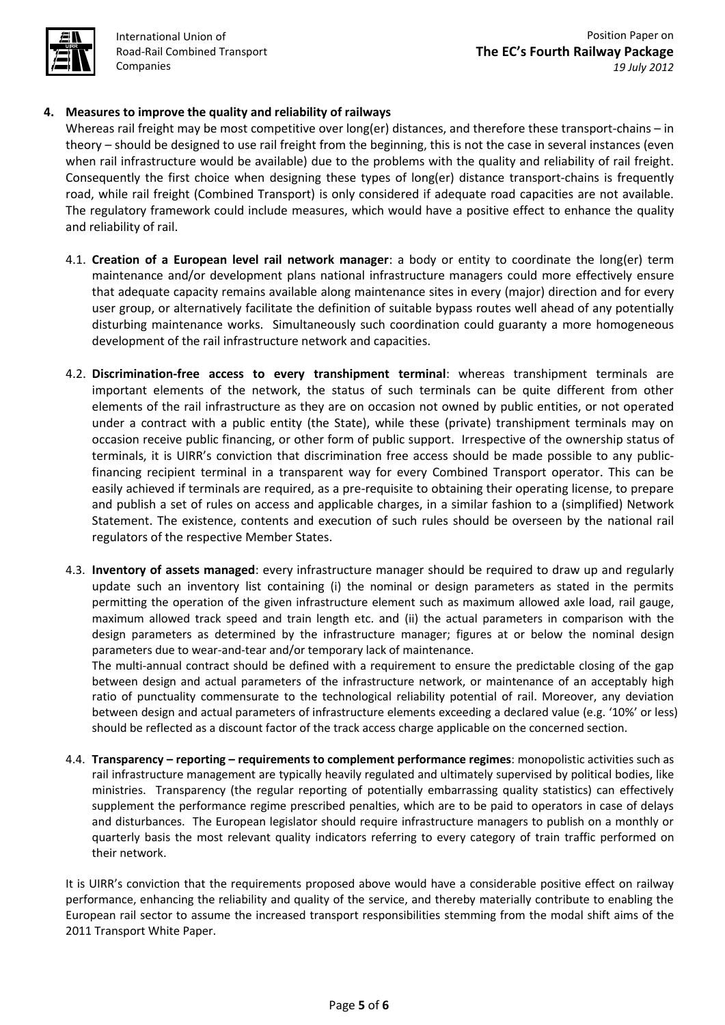

International Union of Road-Rail Combined Transport Companies

## **4. Measures to improve the quality and reliability of railways**

Whereas rail freight may be most competitive over long(er) distances, and therefore these transport-chains – in theory – should be designed to use rail freight from the beginning, this is not the case in several instances (even when rail infrastructure would be available) due to the problems with the quality and reliability of rail freight. Consequently the first choice when designing these types of long(er) distance transport-chains is frequently road, while rail freight (Combined Transport) is only considered if adequate road capacities are not available. The regulatory framework could include measures, which would have a positive effect to enhance the quality and reliability of rail.

- 4.1. **Creation of a European level rail network manager**: a body or entity to coordinate the long(er) term maintenance and/or development plans national infrastructure managers could more effectively ensure that adequate capacity remains available along maintenance sites in every (major) direction and for every user group, or alternatively facilitate the definition of suitable bypass routes well ahead of any potentially disturbing maintenance works. Simultaneously such coordination could guaranty a more homogeneous development of the rail infrastructure network and capacities.
- 4.2. **Discrimination-free access to every transhipment terminal**: whereas transhipment terminals are important elements of the network, the status of such terminals can be quite different from other elements of the rail infrastructure as they are on occasion not owned by public entities, or not operated under a contract with a public entity (the State), while these (private) transhipment terminals may on occasion receive public financing, or other form of public support. Irrespective of the ownership status of terminals, it is UIRR's conviction that discrimination free access should be made possible to any publicfinancing recipient terminal in a transparent way for every Combined Transport operator. This can be easily achieved if terminals are required, as a pre-requisite to obtaining their operating license, to prepare and publish a set of rules on access and applicable charges, in a similar fashion to a (simplified) Network Statement. The existence, contents and execution of such rules should be overseen by the national rail regulators of the respective Member States.
- 4.3. **Inventory of assets managed**: every infrastructure manager should be required to draw up and regularly update such an inventory list containing (i) the nominal or design parameters as stated in the permits permitting the operation of the given infrastructure element such as maximum allowed axle load, rail gauge, maximum allowed track speed and train length etc. and (ii) the actual parameters in comparison with the design parameters as determined by the infrastructure manager; figures at or below the nominal design parameters due to wear-and-tear and/or temporary lack of maintenance.

The multi-annual contract should be defined with a requirement to ensure the predictable closing of the gap between design and actual parameters of the infrastructure network, or maintenance of an acceptably high ratio of punctuality commensurate to the technological reliability potential of rail. Moreover, any deviation between design and actual parameters of infrastructure elements exceeding a declared value (e.g. '10%' or less) should be reflected as a discount factor of the track access charge applicable on the concerned section.

4.4. **Transparency – reporting – requirements to complement performance regimes**: monopolistic activities such as rail infrastructure management are typically heavily regulated and ultimately supervised by political bodies, like ministries. Transparency (the regular reporting of potentially embarrassing quality statistics) can effectively supplement the performance regime prescribed penalties, which are to be paid to operators in case of delays and disturbances. The European legislator should require infrastructure managers to publish on a monthly or quarterly basis the most relevant quality indicators referring to every category of train traffic performed on their network.

It is UIRR's conviction that the requirements proposed above would have a considerable positive effect on railway performance, enhancing the reliability and quality of the service, and thereby materially contribute to enabling the European rail sector to assume the increased transport responsibilities stemming from the modal shift aims of the 2011 Transport White Paper.